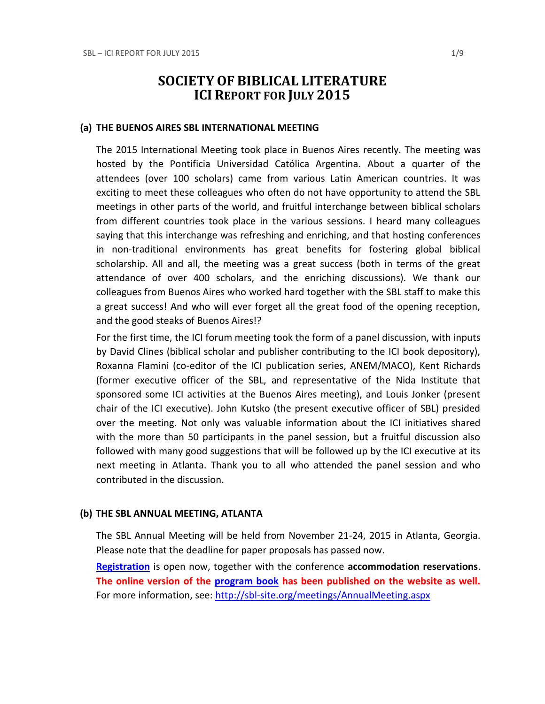# **SOCIETY OF BIBLICAL LITERATURE ICI REPORT FOR JULY 2015**

#### **(a) THE BUENOS AIRES SBL INTERNATIONAL MEETING**

The 2015 International Meeting took place in Buenos Aires recently. The meeting was hosted by the Pontificia Universidad Católica Argentina. About a quarter of the attendees (over 100 scholars) came from various Latin American countries. It was exciting to meet these colleagues who often do not have opportunity to attend the SBL meetings in other parts of the world, and fruitful interchange between biblical scholars from different countries took place in the various sessions. I heard many colleagues saying that this interchange was refreshing and enriching, and that hosting conferences in non-traditional environments has great benefits for fostering global biblical scholarship. All and all, the meeting was a great success (both in terms of the great attendance of over 400 scholars, and the enriching discussions). We thank our colleagues from Buenos Aires who worked hard together with the SBL staff to make this a great success! And who will ever forget all the great food of the opening reception, and the good steaks of Buenos Aires!?

For the first time, the ICI forum meeting took the form of a panel discussion, with inputs by David Clines (biblical scholar and publisher contributing to the ICI book depository), Roxanna Flamini (co-editor of the ICI publication series, ANEM/MACO), Kent Richards (former executive officer of the SBL, and representative of the Nida Institute that sponsored some ICI activities at the Buenos Aires meeting), and Louis Jonker (present chair of the ICI executive). John Kutsko (the present executive officer of SBL) presided over the meeting. Not only was valuable information about the ICI initiatives shared with the more than 50 participants in the panel session, but a fruitful discussion also followed with many good suggestions that will be followed up by the ICI executive at its next meeting in Atlanta. Thank you to all who attended the panel session and who contributed in the discussion.

### **(b) THE SBL ANNUAL MEETING, ATLANTA**

The SBL Annual Meeting will be held from November 21-24, 2015 in Atlanta, Georgia. Please note that the deadline for paper proposals has passed now.

**[Registration](http://sbl-site.org/meetings/meetings_registrationAM.aspx)** is open now, together with the conference **accommodation reservations**. The online version of the **program book** has been published on the website as well. For more information, see: <http://sbl-site.org/meetings/AnnualMeeting.aspx>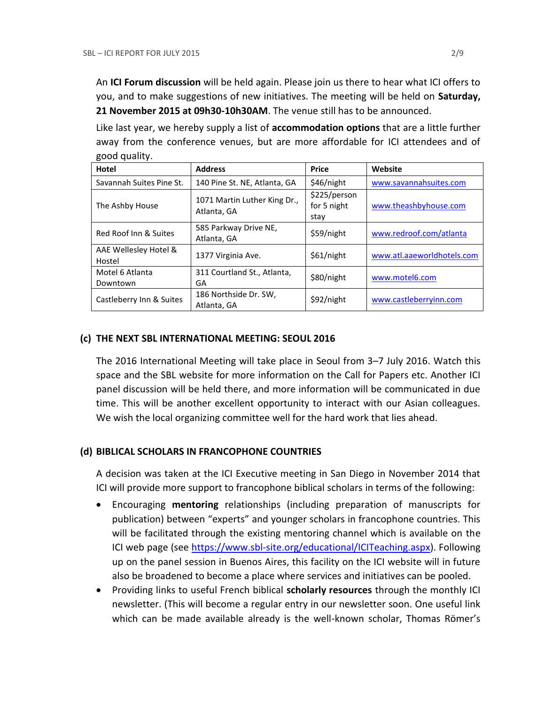An **ICI Forum discussion** will be held again. Please join us there to hear what ICI offers to you, and to make suggestions of new initiatives. The meeting will be held on **Saturday, 21 November 2015 at 09h30-10h30AM**. The venue still has to be announced.

Like last year, we hereby supply a list of **accommodation options** that are a little further away from the conference venues, but are more affordable for ICI attendees and of good quality.

| Hotel                           | <b>Address</b>                              | <b>Price</b>                        | Website                    |
|---------------------------------|---------------------------------------------|-------------------------------------|----------------------------|
| Savannah Suites Pine St.        | 140 Pine St. NE, Atlanta, GA                | \$46/night                          | www.savannahsuites.com     |
| The Ashby House                 | 1071 Martin Luther King Dr.,<br>Atlanta, GA | \$225/person<br>for 5 night<br>stav | www.theashbyhouse.com      |
| Red Roof Inn & Suites           | 585 Parkway Drive NE,<br>Atlanta, GA        | \$59/night                          | www.redroof.com/atlanta    |
| AAE Wellesley Hotel &<br>Hostel | 1377 Virginia Ave.                          | \$61/night                          | www.atl.aaeworldhotels.com |
| Motel 6 Atlanta<br>Downtown     | 311 Courtland St., Atlanta,<br>GA           | \$80/night                          | www.motel6.com             |
| Castleberry Inn & Suites        | 186 Northside Dr. SW,<br>Atlanta, GA        | \$92/night                          | www.castleberryinn.com     |

# **(c) THE NEXT SBL INTERNATIONAL MEETING: SEOUL 2016**

The 2016 International Meeting will take place in Seoul from 3–7 July 2016. Watch this space and the SBL website for more information on the Call for Papers etc. Another ICI panel discussion will be held there, and more information will be communicated in due time. This will be another excellent opportunity to interact with our Asian colleagues. We wish the local organizing committee well for the hard work that lies ahead.

# **(d) BIBLICAL SCHOLARS IN FRANCOPHONE COUNTRIES**

A decision was taken at the ICI Executive meeting in San Diego in November 2014 that ICI will provide more support to francophone biblical scholars in terms of the following:

- Encouraging **mentoring** relationships (including preparation of manuscripts for publication) between "experts" and younger scholars in francophone countries. This will be facilitated through the existing mentoring channel which is available on the ICI web page (see [https://www.sbl-site.org/educational/ICITeaching.aspx\)](https://www.sbl-site.org/educational/ICITeaching.aspx). Following up on the panel session in Buenos Aires, this facility on the ICI website will in future also be broadened to become a place where services and initiatives can be pooled.
- Providing links to useful French biblical **scholarly resources** through the monthly ICI newsletter. (This will become a regular entry in our newsletter soon. One useful link which can be made available already is the well-known scholar, Thomas Römer's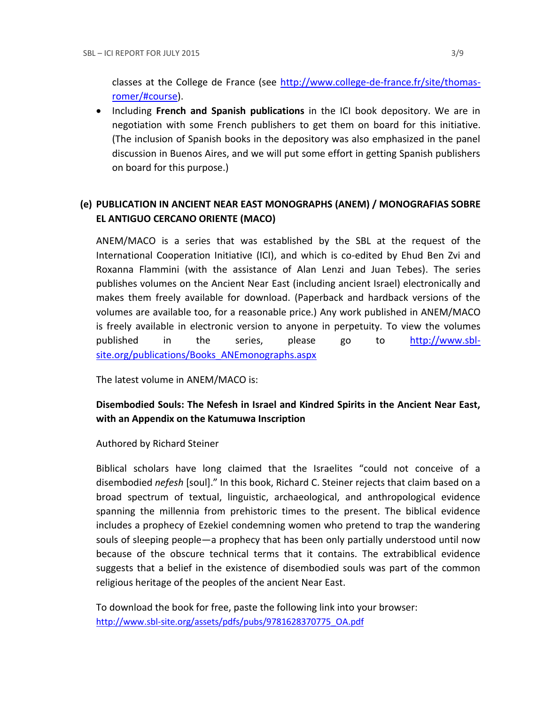classes at the College de France (see [http://www.college-de-france.fr/site/thomas](http://www.college-de-france.fr/site/thomas-romer/#course)[romer/#course\)](http://www.college-de-france.fr/site/thomas-romer/#course).

 Including **French and Spanish publications** in the ICI book depository. We are in negotiation with some French publishers to get them on board for this initiative. (The inclusion of Spanish books in the depository was also emphasized in the panel discussion in Buenos Aires, and we will put some effort in getting Spanish publishers on board for this purpose.)

# **(e) PUBLICATION IN [ANCIENT NEAR EAST MONOGRAPHS](http://www.sbl-site.org/publications/Books_ANEmonographs.aspx) (ANEM) / [MONOGRAFIAS SOBRE](http://www.uca.edu.ar/index.php/site/index/en/universidad/facultades/buenos-aires/cs-sociales-politicas-y-de-la-comunicacion/investigacion/cehao/monografias_aco/)  [EL ANTIGUO CERCANO ORIENTE](http://www.uca.edu.ar/index.php/site/index/en/universidad/facultades/buenos-aires/cs-sociales-politicas-y-de-la-comunicacion/investigacion/cehao/monografias_aco/) (MACO)**

ANEM/MACO is a series that was established by the SBL at the request of the International Cooperation Initiative (ICI), and which is co-edited by Ehud Ben Zvi and Roxanna Flammini (with the assistance of Alan Lenzi and Juan Tebes). The series publishes volumes on the Ancient Near East (including ancient Israel) electronically and makes them freely available for download. (Paperback and hardback versions of the volumes are available too, for a reasonable price.) Any work published in ANEM/MACO is freely available in electronic version to anyone in perpetuity. To view the volumes published in the series, please go to [http://www.sbl](http://www.sbl-site.org/publications/Books_ANEmonographs.aspx)[site.org/publications/Books\\_ANEmonographs.aspx](http://www.sbl-site.org/publications/Books_ANEmonographs.aspx)

The latest volume in ANEM/MACO is:

# **Disembodied Souls: The Nefesh in Israel and Kindred Spirits in the Ancient Near East, with an Appendix on the Katumuwa Inscription**

Authored by Richard Steiner

Biblical scholars have long claimed that the Israelites "could not conceive of a disembodied *nefesh* [soul]." In this book, Richard C. Steiner rejects that claim based on a broad spectrum of textual, linguistic, archaeological, and anthropological evidence spanning the millennia from prehistoric times to the present. The biblical evidence includes a prophecy of Ezekiel condemning women who pretend to trap the wandering souls of sleeping people—a prophecy that has been only partially understood until now because of the obscure technical terms that it contains. The extrabiblical evidence suggests that a belief in the existence of disembodied souls was part of the common religious heritage of the peoples of the ancient Near East.

To download the book for free, paste the following link into your browser: http://www.sbl-site.org/assets/pdfs/pubs/9781628370775\_OA.pdf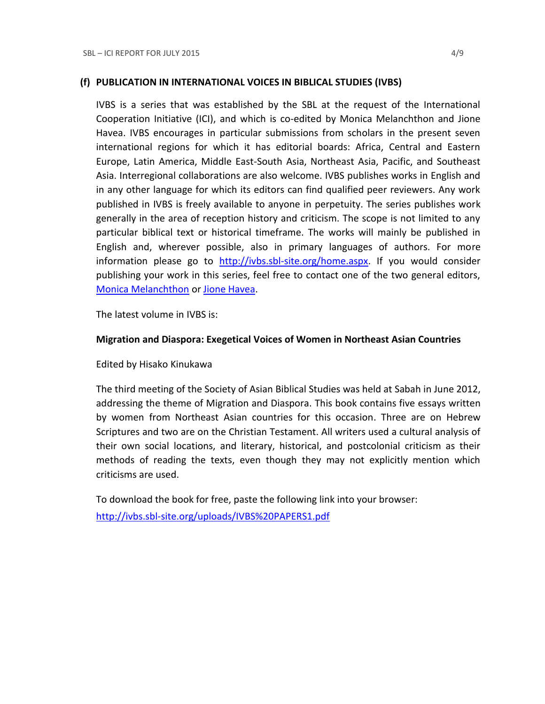#### **(f) PUBLICATION IN INTERNATIONAL VOICES IN BIBLICAL STUDIES (IVBS)**

IVBS is a series that was established by the SBL at the request of the International Cooperation Initiative (ICI), and which is co-edited by Monica Melanchthon and Jione Havea. IVBS encourages in particular submissions from scholars in the present seven international regions for which it has editorial boards: Africa, Central and Eastern Europe, Latin America, Middle East-South Asia, Northeast Asia, Pacific, and Southeast Asia. Interregional collaborations are also welcome. IVBS publishes works in English and in any other language for which its editors can find qualified peer reviewers. Any work published in IVBS is freely available to anyone in perpetuity. The series publishes work generally in the area of reception history and criticism. The scope is not limited to any particular biblical text or historical timeframe. The works will mainly be published in English and, wherever possible, also in primary languages of authors. For more information please go to [http://ivbs.sbl-site.org/home.aspx.](http://ivbs.sbl-site.org/home.aspx) If you would consider publishing your work in this series, feel free to contact one of the two general editors, [Monica Melanchthon](mailto:ivbs2010@gmail.com) or [Jione Havea.](mailto:jioneh@nsw.uca.org.au)

The latest volume in IVBS is:

#### **Migration and Diaspora: Exegetical Voices of Women in Northeast Asian Countries**

Edited by Hisako Kinukawa

The third meeting of the Society of Asian Biblical Studies was held at Sabah in June 2012, addressing the theme of Migration and Diaspora. This book contains five essays written by women from Northeast Asian countries for this occasion. Three are on Hebrew Scriptures and two are on the Christian Testament. All writers used a cultural analysis of their own social locations, and literary, historical, and postcolonial criticism as their methods of reading the texts, even though they may not explicitly mention which criticisms are used.

To download the book for free, paste the following link into your browser: <http://ivbs.sbl-site.org/uploads/IVBS%20PAPERS1.pdf>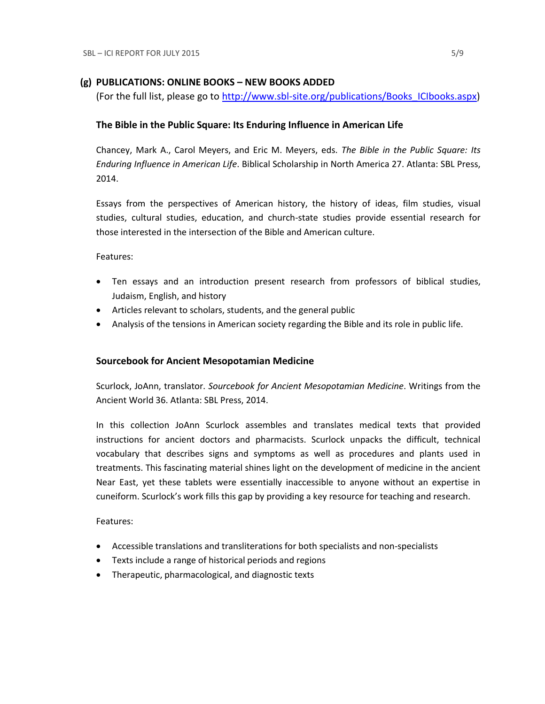### **(g) PUBLICATIONS: ONLINE BOOKS – NEW BOOKS ADDED**

(For the full list, please go to [http://www.sbl-site.org/publications/Books\\_ICIbooks.aspx\)](http://www.sbl-site.org/publications/Books_ICIbooks.aspx)

### **The Bible in the Public Square: Its Enduring Influence in American Life**

Chancey, Mark A., Carol Meyers, and Eric M. Meyers, eds. *The Bible in the Public Square: Its Enduring Influence in American Life*. Biblical Scholarship in North America 27. Atlanta: SBL Press, 2014.

Essays from the perspectives of American history, the history of ideas, film studies, visual studies, cultural studies, education, and church-state studies provide essential research for those interested in the intersection of the Bible and American culture.

Features:

- Ten essays and an introduction present research from professors of biblical studies, Judaism, English, and history
- Articles relevant to scholars, students, and the general public
- Analysis of the tensions in American society regarding the Bible and its role in public life.

### **Sourcebook for Ancient Mesopotamian Medicine**

Scurlock, JoAnn, translator. *Sourcebook for Ancient Mesopotamian Medicine*. Writings from the Ancient World 36. Atlanta: SBL Press, 2014.

In this collection JoAnn Scurlock assembles and translates medical texts that provided instructions for ancient doctors and pharmacists. Scurlock unpacks the difficult, technical vocabulary that describes signs and symptoms as well as procedures and plants used in treatments. This fascinating material shines light on the development of medicine in the ancient Near East, yet these tablets were essentially inaccessible to anyone without an expertise in cuneiform. Scurlock's work fills this gap by providing a key resource for teaching and research.

Features:

- Accessible translations and transliterations for both specialists and non-specialists
- Texts include a range of historical periods and regions
- Therapeutic, pharmacological, and diagnostic texts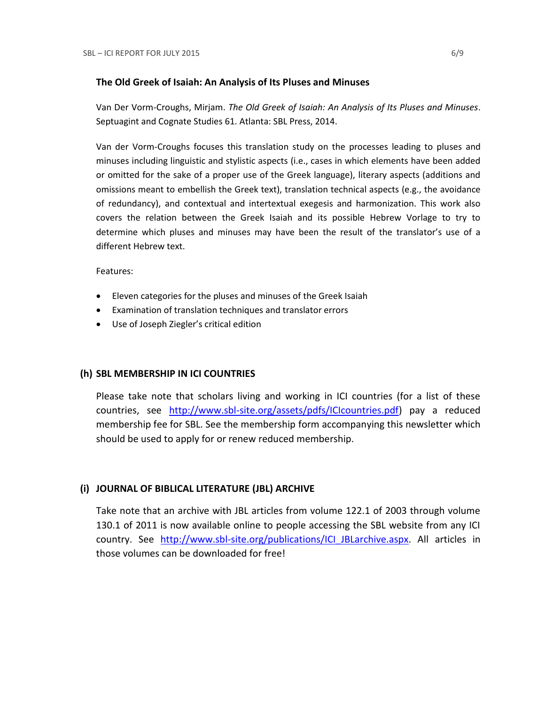#### **The Old Greek of Isaiah: An Analysis of Its Pluses and Minuses**

Van Der Vorm-Croughs, Mirjam. *The Old Greek of Isaiah: An Analysis of Its Pluses and Minuses*. Septuagint and Cognate Studies 61. Atlanta: SBL Press, 2014.

Van der Vorm-Croughs focuses this translation study on the processes leading to pluses and minuses including linguistic and stylistic aspects (i.e., cases in which elements have been added or omitted for the sake of a proper use of the Greek language), literary aspects (additions and omissions meant to embellish the Greek text), translation technical aspects (e.g., the avoidance of redundancy), and contextual and intertextual exegesis and harmonization. This work also covers the relation between the Greek Isaiah and its possible Hebrew Vorlage to try to determine which pluses and minuses may have been the result of the translator's use of a different Hebrew text.

Features:

- Eleven categories for the pluses and minuses of the Greek Isaiah
- Examination of translation techniques and translator errors
- Use of Joseph Ziegler's critical edition

# **(h) SBL MEMBERSHIP IN ICI COUNTRIES**

Please take note that scholars living and working in ICI countries (for a list of these countries, see [http://www.sbl-site.org/assets/pdfs/ICIcountries.pdf\)](http://www.sbl-site.org/assets/pdfs/ICIcountries.pdf) pay a reduced membership fee for SBL. See the membership form accompanying this newsletter which should be used to apply for or renew reduced membership.

# **(i) JOURNAL OF BIBLICAL LITERATURE (JBL) ARCHIVE**

Take note that an archive with JBL articles from volume 122.1 of 2003 through volume 130.1 of 2011 is now available online to people accessing the SBL website from any ICI country. See http://www.sbl-site.org/publications/ICI JBLarchive.aspx. All articles in those volumes can be downloaded for free!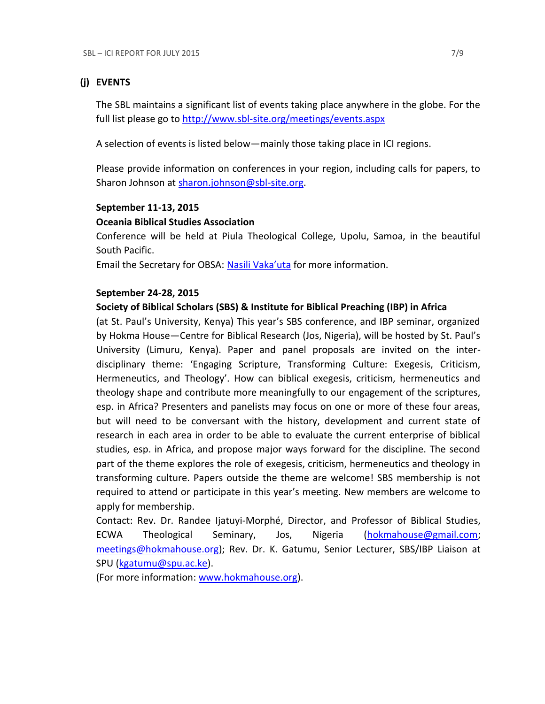## **(j) EVENTS**

The SBL maintains a significant list of events taking place anywhere in the globe. For the full list please go to<http://www.sbl-site.org/meetings/events.aspx>

A selection of events is listed below—mainly those taking place in ICI regions.

Please provide information on conferences in your region, including calls for papers, to Sharon Johnson at [sharon.johnson@sbl-site.org.](mailto:sharon.johnson@sbl-site.org)

### **September 11-13, 2015**

## **Oceania Biblical Studies Association**

Conference will be held at Piula Theological College, Upolu, Samoa, in the beautiful South Pacific.

Email the Secretary for OBSA: [Nasili Vaka'uta](mailto:%20OBSAMail@gmail.com) for more information.

### **September 24-28, 2015**

## **Society of Biblical Scholars (SBS) & Institute for Biblical Preaching (IBP) in Africa**

(at St. Paul's University, Kenya) This year's SBS conference, and IBP seminar, organized by Hokma House—Centre for Biblical Research (Jos, Nigeria), will be hosted by St. Paul's University (Limuru, Kenya). Paper and panel proposals are invited on the interdisciplinary theme: 'Engaging Scripture, Transforming Culture: Exegesis, Criticism, Hermeneutics, and Theology'. How can biblical exegesis, criticism, hermeneutics and theology shape and contribute more meaningfully to our engagement of the scriptures, esp. in Africa? Presenters and panelists may focus on one or more of these four areas, but will need to be conversant with the history, development and current state of research in each area in order to be able to evaluate the current enterprise of biblical studies, esp. in Africa, and propose major ways forward for the discipline. The second part of the theme explores the role of exegesis, criticism, hermeneutics and theology in transforming culture. Papers outside the theme are welcome! SBS membership is not required to attend or participate in this year's meeting. New members are welcome to apply for membership.

Contact: Rev. Dr. Randee Ijatuyi-Morphé, Director, and Professor of Biblical Studies, ECWA Theological Seminary, Jos, Nigeria [\(hokmahouse@gmail.com;](mailto:hokmahouse@gmail.com) [meetings@hokmahouse.org\)](mailto:meetings@hokmahouse.org); Rev. Dr. K. Gatumu, Senior Lecturer, SBS/IBP Liaison at SPU [\(kgatumu@spu.ac.ke\)](mailto:kgatumu@spu.ac.ke).

(For more information: [www.hokmahouse.org\)](http://www.hokmahouse.org/).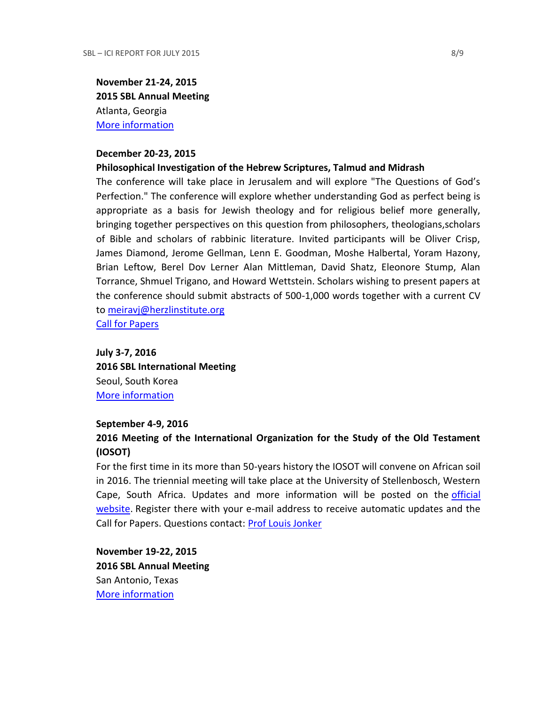**November 21-24, 2015 2015 SBL Annual Meeting** Atlanta, Georgia [More information](http://sbl-site.org/meetings/Annualmeeting.aspx)

#### **December 20-23, 2015**

#### **Philosophical Investigation of the Hebrew Scriptures, Talmud and Midrash**

The conference will take place in Jerusalem and will explore "The Questions of God's Perfection." The conference will explore whether understanding God as perfect being is appropriate as a basis for Jewish theology and for religious belief more generally, bringing together perspectives on this question from philosophers, theologians,scholars of Bible and scholars of rabbinic literature. Invited participants will be Oliver Crisp, James Diamond, Jerome Gellman, Lenn E. Goodman, Moshe Halbertal, Yoram Hazony, Brian Leftow, Berel Dov Lerner Alan Mittleman, David Shatz, Eleonore Stump, Alan Torrance, Shmuel Trigano, and Howard Wettstein. Scholars wishing to present papers at the conference should submit abstracts of 500-1,000 words together with a current CV to [meiravj@herzlinstitute.org](mailto:meiravj@herzlinstitute.org)

[Call for Papers](http://bibleandphilosophy.org/wp-content/uploads/2014/02/2015-conference-announcement-v-4.pdf)

**July 3-7, 2016 2016 SBL International Meeting** Seoul, South Korea [More information](http://sbl-site.org/meetings/Internationalmeeting.aspx)

#### **September 4-9, 2016**

# **2016 Meeting of the International Organization for the Study of the Old Testament (IOSOT)**

For the first time in its more than 50-years history the IOSOT will convene on African soil in 2016. The triennial meeting will take place at the University of Stellenbosch, Western Cape, South Africa. Updates and more information will be posted on the [official](http://www.iosot2016.co.za/)  [website.](http://www.iosot2016.co.za/) Register there with your e-mail address to receive automatic updates and the Call for Papers. Questions contact: [Prof Louis Jonker](mailto:LCJ@sun.ac.za)

**November 19-22, 2015 2016 SBL Annual Meeting** San Antonio, Texas [More information](http://sbl-site.org/meetings/Annualmeeting.aspx)